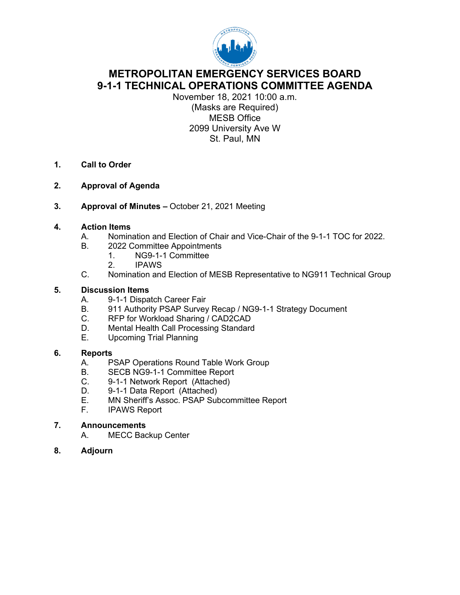

# **METROPOLITAN EMERGENCY SERVICES BOARD 9-1-1 TECHNICAL OPERATIONS COMMITTEE AGENDA**

November 18, 2021 10:00 a.m. (Masks are Required) MESB Office 2099 University Ave W St. Paul, MN

- **1. Call to Order**
- **2. Approval of Agenda**
- **3. Approval of Minutes –** October 21, 2021 Meeting

#### **4. Action Items**

- A. Nomination and Election of Chair and Vice-Chair of the 9-1-1 TOC for 2022.
- B. 2022 Committee Appointments
	- 1. NG9-1-1 Committee
		- 2. IPAWS
- C. Nomination and Election of MESB Representative to NG911 Technical Group

#### **5. Discussion Items**

- A. 9-1-1 Dispatch Career Fair
- B. 911 Authority PSAP Survey Recap / NG9-1-1 Strategy Document
- C. RFP for Workload Sharing / CAD2CAD
- D. Mental Health Call Processing Standard<br>E. Upcoming Trial Planning
- Upcoming Trial Planning

#### **6. Reports**

- A. PSAP Operations Round Table Work Group
- B. SECB NG9-1-1 Committee Report
- C. 9-1-1 Network Report (Attached)
- D. 9-1-1 Data Report (Attached)
- E. MN Sheriff's Assoc. PSAP Subcommittee Report
- **IPAWS Report**

#### **7. Announcements**

- A. MECC Backup Center
- **8. Adjourn**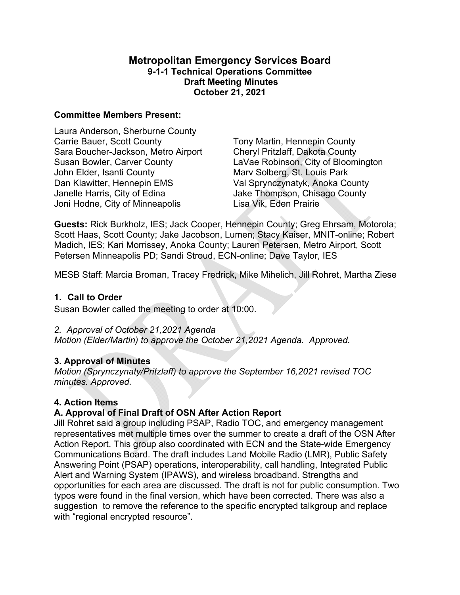#### **Metropolitan Emergency Services Board 9-1-1 Technical Operations Committee Draft Meeting Minutes October 21, 2021**

#### **Committee Members Present:**

Laura Anderson, Sherburne County Carrie Bauer, Scott County Sara Boucher-Jackson, Metro Airport Susan Bowler, Carver County John Elder, Isanti County Dan Klawitter, Hennepin EMS Janelle Harris, City of Edina Joni Hodne, City of Minneapolis

Tony Martin, Hennepin County Cheryl Pritzlaff, Dakota County LaVae Robinson, City of Bloomington Marv Solberg, St. Louis Park Val Sprynczynatyk, Anoka County Jake Thompson, Chisago County Lisa Vik, Eden Prairie

**Guests:** Rick Burkholz, IES; Jack Cooper, Hennepin County; Greg Ehrsam, Motorola; Scott Haas, Scott County; Jake Jacobson, Lumen; Stacy Kaiser, MNIT-online; Robert Madich, IES; Kari Morrissey, Anoka County; Lauren Petersen, Metro Airport, Scott Petersen Minneapolis PD; Sandi Stroud, ECN-online; Dave Taylor, IES

MESB Staff: Marcia Broman, Tracey Fredrick, Mike Mihelich, Jill Rohret, Martha Ziese

### **1. Call to Order**

Susan Bowler called the meeting to order at 10:00.

*2. Approval of October 21,2021 Agenda* 

*Motion (Elder/Martin) to approve the October 21,2021 Agenda. Approved.* 

# **3. Approval of Minutes**

*Motion (Sprynczynaty/Pritzlaff) to approve the September 16,2021 revised TOC minutes. Approved.* 

# **4. Action Items**

# **A. Approval of Final Draft of OSN After Action Report**

Jill Rohret said a group including PSAP, Radio TOC, and emergency management representatives met multiple times over the summer to create a draft of the OSN After Action Report. This group also coordinated with ECN and the State-wide Emergency Communications Board. The draft includes Land Mobile Radio (LMR), Public Safety Answering Point (PSAP) operations, interoperability, call handling, Integrated Public Alert and Warning System (IPAWS), and wireless broadband. Strengths and opportunities for each area are discussed. The draft is not for public consumption. Two typos were found in the final version, which have been corrected. There was also a suggestion to remove the reference to the specific encrypted talkgroup and replace with "regional encrypted resource".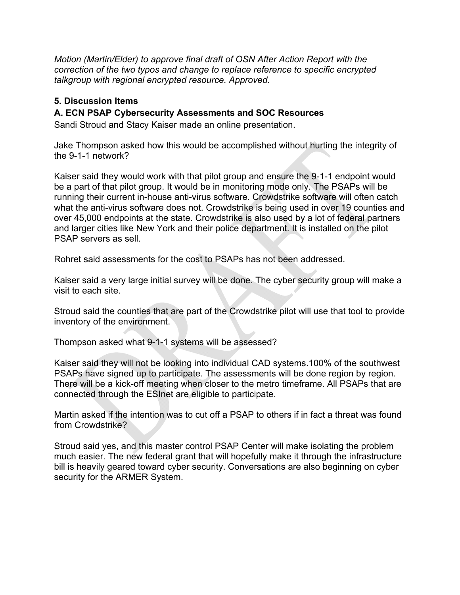*Motion (Martin/Elder) to approve final draft of OSN After Action Report with the correction of the two typos and change to replace reference to specific encrypted talkgroup with regional encrypted resource. Approved.* 

### **5. Discussion Items**

#### **A. ECN PSAP Cybersecurity Assessments and SOC Resources**

Sandi Stroud and Stacy Kaiser made an online presentation.

Jake Thompson asked how this would be accomplished without hurting the integrity of the 9-1-1 network?

Kaiser said they would work with that pilot group and ensure the 9-1-1 endpoint would be a part of that pilot group. It would be in monitoring mode only. The PSAPs will be running their current in-house anti-virus software. Crowdstrike software will often catch what the anti-virus software does not. Crowdstrike is being used in over 19 counties and over 45,000 endpoints at the state. Crowdstrike is also used by a lot of federal partners and larger cities like New York and their police department. It is installed on the pilot PSAP servers as sell.

Rohret said assessments for the cost to PSAPs has not been addressed.

Kaiser said a very large initial survey will be done. The cyber security group will make a visit to each site.

Stroud said the counties that are part of the Crowdstrike pilot will use that tool to provide inventory of the environment.

Thompson asked what 9-1-1 systems will be assessed?

Kaiser said they will not be looking into individual CAD systems.100% of the southwest PSAPs have signed up to participate. The assessments will be done region by region. There will be a kick-off meeting when closer to the metro timeframe. All PSAPs that are connected through the ESInet are eligible to participate.

Martin asked if the intention was to cut off a PSAP to others if in fact a threat was found from Crowdstrike?

Stroud said yes, and this master control PSAP Center will make isolating the problem much easier. The new federal grant that will hopefully make it through the infrastructure bill is heavily geared toward cyber security. Conversations are also beginning on cyber security for the ARMER System.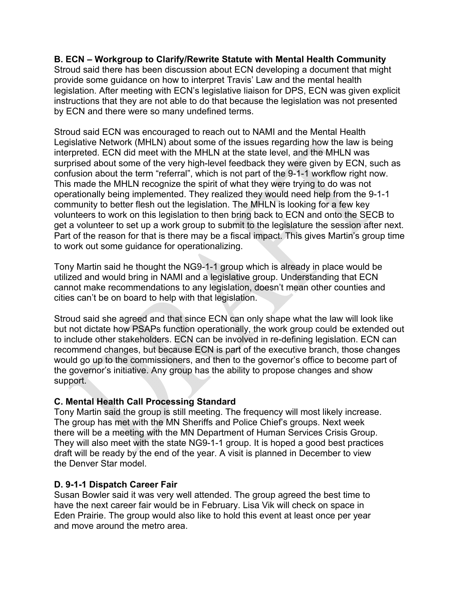#### **B. ECN – Workgroup to Clarify/Rewrite Statute with Mental Health Community**

Stroud said there has been discussion about ECN developing a document that might provide some guidance on how to interpret Travis' Law and the mental health legislation. After meeting with ECN's legislative liaison for DPS, ECN was given explicit instructions that they are not able to do that because the legislation was not presented by ECN and there were so many undefined terms.

Stroud said ECN was encouraged to reach out to NAMI and the Mental Health Legislative Network (MHLN) about some of the issues regarding how the law is being interpreted. ECN did meet with the MHLN at the state level, and the MHLN was surprised about some of the very high-level feedback they were given by ECN, such as confusion about the term "referral", which is not part of the 9-1-1 workflow right now. This made the MHLN recognize the spirit of what they were trying to do was not operationally being implemented. They realized they would need help from the 9-1-1 community to better flesh out the legislation. The MHLN is looking for a few key volunteers to work on this legislation to then bring back to ECN and onto the SECB to get a volunteer to set up a work group to submit to the legislature the session after next. Part of the reason for that is there may be a fiscal impact. This gives Martin's group time to work out some guidance for operationalizing.

Tony Martin said he thought the NG9-1-1 group which is already in place would be utilized and would bring in NAMI and a legislative group. Understanding that ECN cannot make recommendations to any legislation, doesn't mean other counties and cities can't be on board to help with that legislation.

Stroud said she agreed and that since ECN can only shape what the law will look like but not dictate how PSAPs function operationally, the work group could be extended out to include other stakeholders. ECN can be involved in re-defining legislation. ECN can recommend changes, but because ECN is part of the executive branch, those changes would go up to the commissioners, and then to the governor's office to become part of the governor's initiative. Any group has the ability to propose changes and show support.

# **C. Mental Health Call Processing Standard**

Tony Martin said the group is still meeting. The frequency will most likely increase. The group has met with the MN Sheriffs and Police Chief's groups. Next week there will be a meeting with the MN Department of Human Services Crisis Group. They will also meet with the state NG9-1-1 group. It is hoped a good best practices draft will be ready by the end of the year. A visit is planned in December to view the Denver Star model.

# **D. 9-1-1 Dispatch Career Fair**

Susan Bowler said it was very well attended. The group agreed the best time to have the next career fair would be in February. Lisa Vik will check on space in Eden Prairie. The group would also like to hold this event at least once per year and move around the metro area.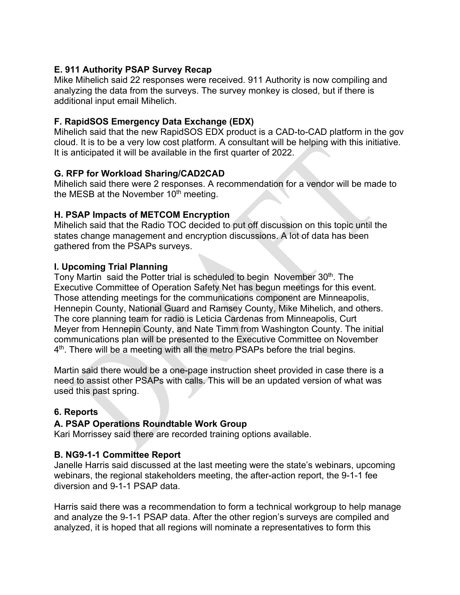# **E. 911 Authority PSAP Survey Recap**

Mike Mihelich said 22 responses were received. 911 Authority is now compiling and analyzing the data from the surveys. The survey monkey is closed, but if there is additional input email Mihelich.

# **F. RapidSOS Emergency Data Exchange (EDX)**

Mihelich said that the new RapidSOS EDX product is a CAD-to-CAD platform in the gov cloud. It is to be a very low cost platform. A consultant will be helping with this initiative. It is anticipated it will be available in the first quarter of 2022.

#### **G. RFP for Workload Sharing/CAD2CAD**

Mihelich said there were 2 responses. A recommendation for a vendor will be made to the MESB at the November  $10<sup>th</sup>$  meeting.

# **H. PSAP Impacts of METCOM Encryption**

Mihelich said that the Radio TOC decided to put off discussion on this topic until the states change management and encryption discussions. A lot of data has been gathered from the PSAPs surveys.

#### **I. Upcoming Trial Planning**

Tony Martin said the Potter trial is scheduled to begin November 30<sup>th</sup>. The Executive Committee of Operation Safety Net has begun meetings for this event. Those attending meetings for the communications component are Minneapolis, Hennepin County, National Guard and Ramsey County, Mike Mihelich, and others. The core planning team for radio is Leticia Cardenas from Minneapolis, Curt Meyer from Hennepin County, and Nate Timm from Washington County. The initial communications plan will be presented to the Executive Committee on November 4<sup>th</sup>. There will be a meeting with all the metro PSAPs before the trial begins.

Martin said there would be a one-page instruction sheet provided in case there is a need to assist other PSAPs with calls. This will be an updated version of what was used this past spring.

# **6. Reports**

#### **A. PSAP Operations Roundtable Work Group**

Kari Morrissey said there are recorded training options available.

#### **B. NG9-1-1 Committee Report**

Janelle Harris said discussed at the last meeting were the state's webinars, upcoming webinars, the regional stakeholders meeting, the after-action report, the 9-1-1 fee diversion and 9-1-1 PSAP data.

Harris said there was a recommendation to form a technical workgroup to help manage and analyze the 9-1-1 PSAP data. After the other region's surveys are compiled and analyzed, it is hoped that all regions will nominate a representatives to form this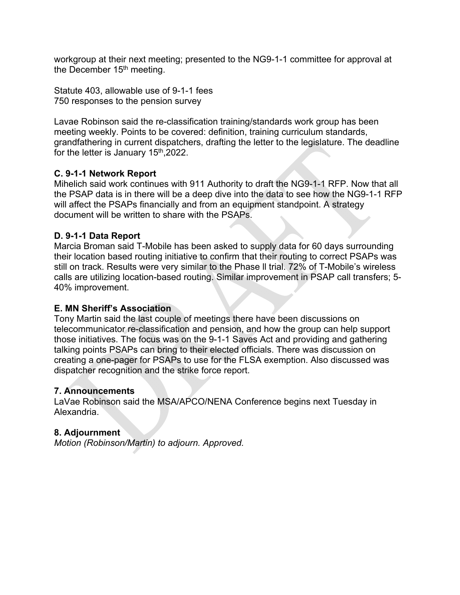workgroup at their next meeting; presented to the NG9-1-1 committee for approval at the December 15<sup>th</sup> meeting.

Statute 403, allowable use of 9-1-1 fees 750 responses to the pension survey

Lavae Robinson said the re-classification training/standards work group has been meeting weekly. Points to be covered: definition, training curriculum standards, grandfathering in current dispatchers, drafting the letter to the legislature. The deadline for the letter is January 15<sup>th</sup>,2022.

#### **C. 9-1-1 Network Report**

Mihelich said work continues with 911 Authority to draft the NG9-1-1 RFP. Now that all the PSAP data is in there will be a deep dive into the data to see how the NG9-1-1 RFP will affect the PSAPs financially and from an equipment standpoint. A strategy document will be written to share with the PSAPs.

#### **D. 9-1-1 Data Report**

Marcia Broman said T-Mobile has been asked to supply data for 60 days surrounding their location based routing initiative to confirm that their routing to correct PSAPs was still on track. Results were very similar to the Phase ll trial. 72% of T-Mobile's wireless calls are utilizing location-based routing. Similar improvement in PSAP call transfers; 5- 40% improvement.

#### **E. MN Sheriff's Association**

Tony Martin said the last couple of meetings there have been discussions on telecommunicator re-classification and pension, and how the group can help support those initiatives. The focus was on the 9-1-1 Saves Act and providing and gathering talking points PSAPs can bring to their elected officials. There was discussion on creating a one-pager for PSAPs to use for the FLSA exemption. Also discussed was dispatcher recognition and the strike force report.

#### **7. Announcements**

LaVae Robinson said the MSA/APCO/NENA Conference begins next Tuesday in Alexandria.

#### **8. Adjournment**

*Motion (Robinson/Martin) to adjourn. Approved.*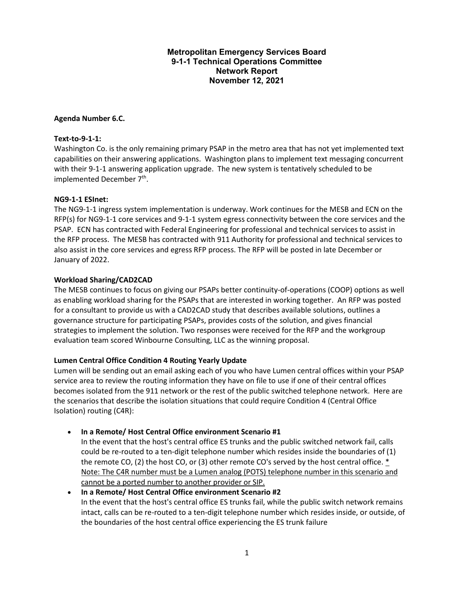#### **Metropolitan Emergency Services Board 9-1-1 Technical Operations Committee Network Report November 12, 2021**

#### **Agenda Number 6.C.**

#### **Text-to-9-1-1:**

Washington Co. is the only remaining primary PSAP in the metro area that has not yet implemented text capabilities on their answering applications. Washington plans to implement text messaging concurrent with their 9-1-1 answering application upgrade. The new system is tentatively scheduled to be implemented December 7<sup>th</sup>.

#### **NG9-1-1 ESInet:**

The NG9-1-1 ingress system implementation is underway. Work continues for the MESB and ECN on the RFP(s) for NG9-1-1 core services and 9-1-1 system egress connectivity between the core services and the PSAP. ECN has contracted with Federal Engineering for professional and technical services to assist in the RFP process. The MESB has contracted with 911 Authority for professional and technical services to also assist in the core services and egress RFP process. The RFP will be posted in late December or January of 2022.

#### **Workload Sharing/CAD2CAD**

The MESB continues to focus on giving our PSAPs better continuity-of-operations (COOP) options as well as enabling workload sharing for the PSAPs that are interested in working together. An RFP was posted for a consultant to provide us with a CAD2CAD study that describes available solutions, outlines a governance structure for participating PSAPs, provides costs of the solution, and gives financial strategies to implement the solution. Two responses were received for the RFP and the workgroup evaluation team scored Winbourne Consulting, LLC as the winning proposal.

#### **Lumen Central Office Condition 4 Routing Yearly Update**

Lumen will be sending out an email asking each of you who have Lumen central offices within your PSAP service area to review the routing information they have on file to use if one of their central offices becomes isolated from the 911 network or the rest of the public switched telephone network. Here are the scenarios that describe the isolation situations that could require Condition 4 (Central Office Isolation) routing (C4R):

#### • **In a Remote/ Host Central Office environment Scenario #1**

In the event that the host's central office ES trunks and the public switched network fail, calls could be re-routed to a ten-digit telephone number which resides inside the boundaries of (1) the remote CO, (2) the host CO, or (3) other remote CO's served by the host central office.  $*$ Note: The C4R number must be a Lumen analog (POTS) telephone number in this scenario and cannot be a ported number to another provider or SIP.

• **In a Remote/ Host Central Office environment Scenario #2** In the event that the host's central office ES trunks fail, while the public switch network remains intact, calls can be re-routed to a ten-digit telephone number which resides inside, or outside, of the boundaries of the host central office experiencing the ES trunk failure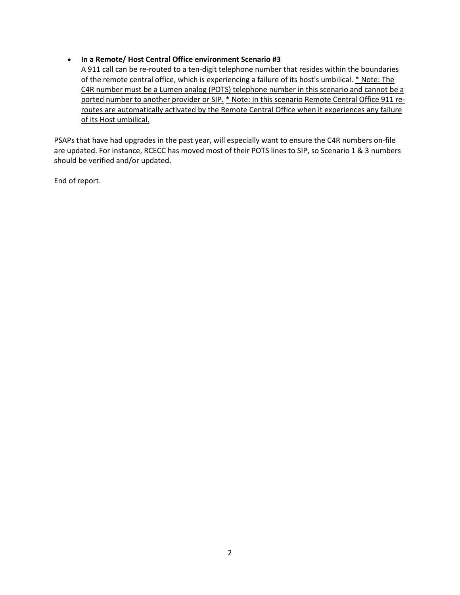#### • **In a Remote/ Host Central Office environment Scenario #3**

A 911 call can be re-routed to a ten-digit telephone number that resides within the boundaries of the remote central office, which is experiencing a failure of its host's umbilical. \* Note: The C4R number must be a Lumen analog (POTS) telephone number in this scenario and cannot be a ported number to another provider or SIP. \* Note: In this scenario Remote Central Office 911 reroutes are automatically activated by the Remote Central Office when it experiences any failure of its Host umbilical.

PSAPs that have had upgrades in the past year, will especially want to ensure the C4R numbers on-file are updated. For instance, RCECC has moved most of their POTS lines to SIP, so Scenario 1 & 3 numbers should be verified and/or updated.

End of report.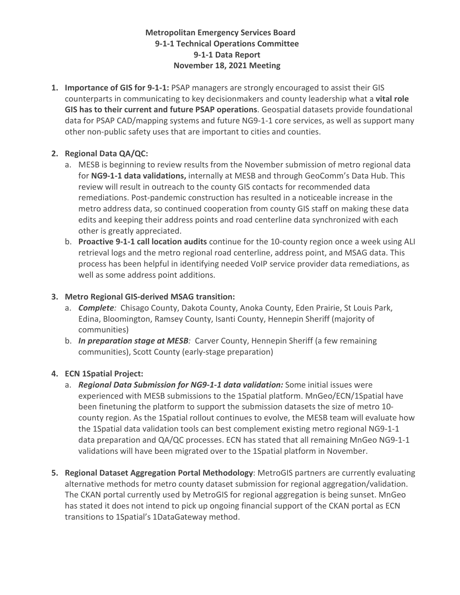### **Metropolitan Emergency Services Board 9-1-1 Technical Operations Committee 9-1-1 Data Report November 18, 2021 Meeting**

**1. Importance of GIS for 9-1-1:** PSAP managers are strongly encouraged to assist their GIS counterparts in communicating to key decisionmakers and county leadership what a **vital role GIS has to their current and future PSAP operations**. Geospatial datasets provide foundational data for PSAP CAD/mapping systems and future NG9-1-1 core services, as well as support many other non-public safety uses that are important to cities and counties.

# **2. Regional Data QA/QC:**

- a. MESB is beginning to review results from the November submission of metro regional data for **NG9-1-1 data validations,** internally at MESB and through GeoComm's Data Hub. This review will result in outreach to the county GIS contacts for recommended data remediations. Post-pandemic construction has resulted in a noticeable increase in the metro address data, so continued cooperation from county GIS staff on making these data edits and keeping their address points and road centerline data synchronized with each other is greatly appreciated.
- b. **Proactive 9-1-1 call location audits** continue for the 10-county region once a week using ALI retrieval logs and the metro regional road centerline, address point, and MSAG data. This process has been helpful in identifying needed VoIP service provider data remediations, as well as some address point additions.

#### **3. Metro Regional GIS-derived MSAG transition:**

- a. *Complete:* Chisago County, Dakota County, Anoka County, Eden Prairie, St Louis Park, Edina, Bloomington, Ramsey County, Isanti County, Hennepin Sheriff (majority of communities)
- b. *In preparation stage at MESB:* Carver County, Hennepin Sheriff (a few remaining communities), Scott County (early-stage preparation)

#### **4. ECN 1Spatial Project:**

- a. *Regional Data Submission for NG9-1-1 data validation:* Some initial issues were experienced with MESB submissions to the 1Spatial platform. MnGeo/ECN/1Spatial have been finetuning the platform to support the submission datasets the size of metro 10 county region. As the 1Spatial rollout continues to evolve, the MESB team will evaluate how the 1Spatial data validation tools can best complement existing metro regional NG9-1-1 data preparation and QA/QC processes. ECN has stated that all remaining MnGeo NG9-1-1 validations will have been migrated over to the 1Spatial platform in November.
- **5. Regional Dataset Aggregation Portal Methodology**: MetroGIS partners are currently evaluating alternative methods for metro county dataset submission for regional aggregation/validation. The CKAN portal currently used by MetroGIS for regional aggregation is being sunset. MnGeo has stated it does not intend to pick up ongoing financial support of the CKAN portal as ECN transitions to 1Spatial's 1DataGateway method.